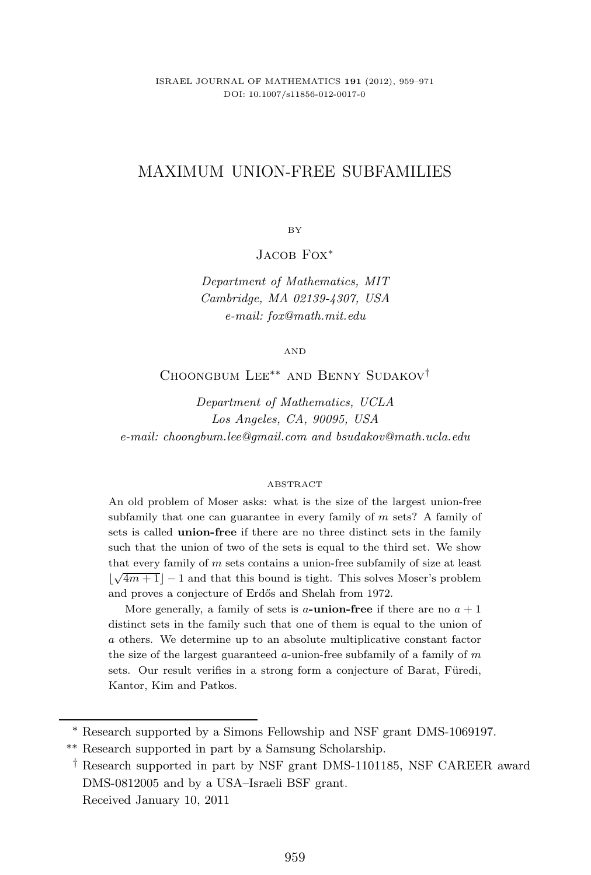# MAXIMUM UNION-FREE SUBFAMILIES

BY

J<sub>ACOB</sub> Fox<sup>\*</sup>

*Department of Mathematics, MIT Cambridge, MA 02139-4307, USA e-mail: fox@math.mit.edu*

AND

Choongbum Lee∗∗ and Benny Sudakov†

*Department of Mathematics, UCLA Los Angeles, CA, 90095, USA e-mail: choongbum.lee@gmail.com and bsudakov@math.ucla.edu*

#### ABSTRACT

An old problem of Moser asks: what is the size of the largest union-free subfamily that one can guarantee in every family of *m* sets? A family of sets is called **union-free** if there are no three distinct sets in the family such that the union of two of the sets is equal to the third set. We show that every family of *m* sets contains a union-free subfamily of size at least  $\lfloor \sqrt{4m+1} \rfloor - 1$  and that this bound is tight. This solves Moser's problem and proves a conjecture of Erdős and Shelah from 1972.

More generally, a family of sets is *a***-union-free** if there are no  $a + 1$ distinct sets in the family such that one of them is equal to the union of *a* others. We determine up to an absolute multiplicative constant factor the size of the largest guaranteed *a*-union-free subfamily of a family of *m* sets. Our result verifies in a strong form a conjecture of Barat, Füredi, Kantor, Kim and Patkos.

<sup>∗</sup> Research supported by a Simons Fellowship and NSF grant DMS-1069197.

<sup>∗∗</sup> Research supported in part by a Samsung Scholarship.

<sup>†</sup> Research supported in part by NSF grant DMS-1101185, NSF CAREER award DMS-0812005 and by a USA–Israeli BSF grant. Received January 10, 2011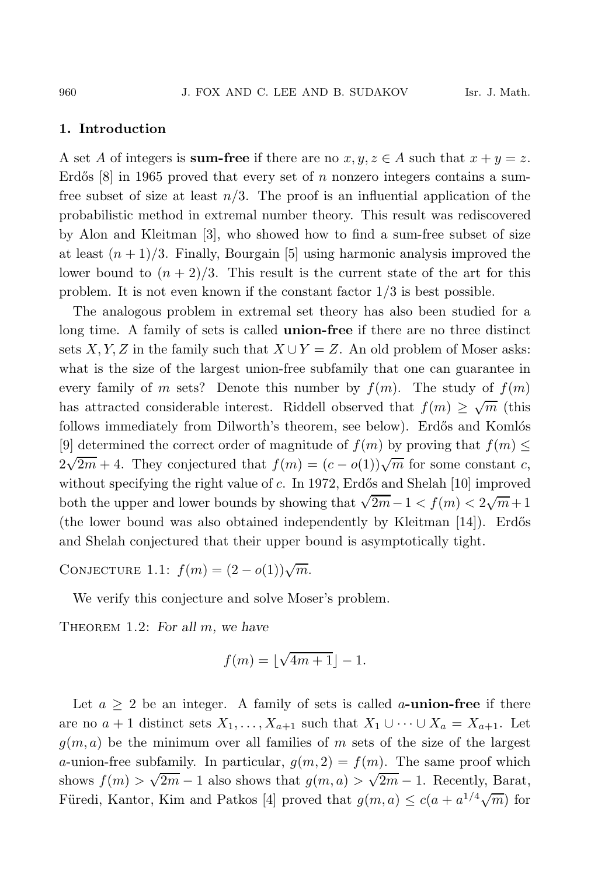## **1. Introduction**

A set A of integers is **sum-free** if there are no  $x, y, z \in A$  such that  $x + y = z$ . Erdős  $[8]$  in 1965 proved that every set of n nonzero integers contains a sumfree subset of size at least  $n/3$ . The proof is an influential application of the probabilistic method in extremal number theory. This result was rediscovered by Alon and Kleitman [3], who showed how to find a sum-free subset of size at least  $(n+1)/3$ . Finally, Bourgain [5] using harmonic analysis improved the lower bound to  $(n+2)/3$ . This result is the current state of the art for this problem. It is not even known if the constant factor  $1/3$  is best possible.

The analogous problem in extremal set theory has also been studied for a long time. A family of sets is called **union-free** if there are no three distinct sets X, Y, Z in the family such that  $X \cup Y = Z$ . An old problem of Moser asks: what is the size of the largest union-free subfamily that one can guarantee in every family of m sets? Denote this number by  $f(m)$ . The study of  $f(m)$ has attracted considerable interest. Riddell observed that  $f(m) \geq \sqrt{m}$  (this follows immediately from Dilworth's theorem, see below). Erdős and Komlós [9] determined the correct order of magnitude of  $f(m)$  by proving that  $f(m) \leq$  $2\sqrt{2m}+4$ . They conjectured that  $f(m)=(c-o(1))\sqrt{m}$  for some constant c, without specifying the right value of  $c$ . In 1972, Erdős and Shelah [10] improved both the upper and lower bounds by showing that  $\sqrt{2m}-1 < f(m) < 2\sqrt{m}+1$ (the lower bound was also obtained independently by Kleitman  $[14]$ ). Erdős and Shelah conjectured that their upper bound is asymptotically tight.

CONJECTURE 1.1:  $f(m) = (2 - o(1))\sqrt{m}$ .

We verify this conjecture and solve Moser's problem.

Theorem 1.2: *For all* m*, we have*

$$
f(m) = \lfloor \sqrt{4m+1} \rfloor - 1.
$$

Let  $a \geq 2$  be an integer. A family of sets is called a-**union-free** if there are no  $a + 1$  distinct sets  $X_1, \ldots, X_{a+1}$  such that  $X_1 \cup \cdots \cup X_a = X_{a+1}$ . Let  $g(m, a)$  be the minimum over all families of m sets of the size of the largest a-union-free subfamily. In particular,  $g(m, 2) = f(m)$ . The same proof which shows  $f(m) > \sqrt{2m} - 1$  also shows that  $g(m, a) > \sqrt{2m} - 1$ . Recently, Barat, Füredi, Kantor, Kim and Patkos [4] proved that  $g(m, a) \leq c(a + a^{1/4}\sqrt{m})$  for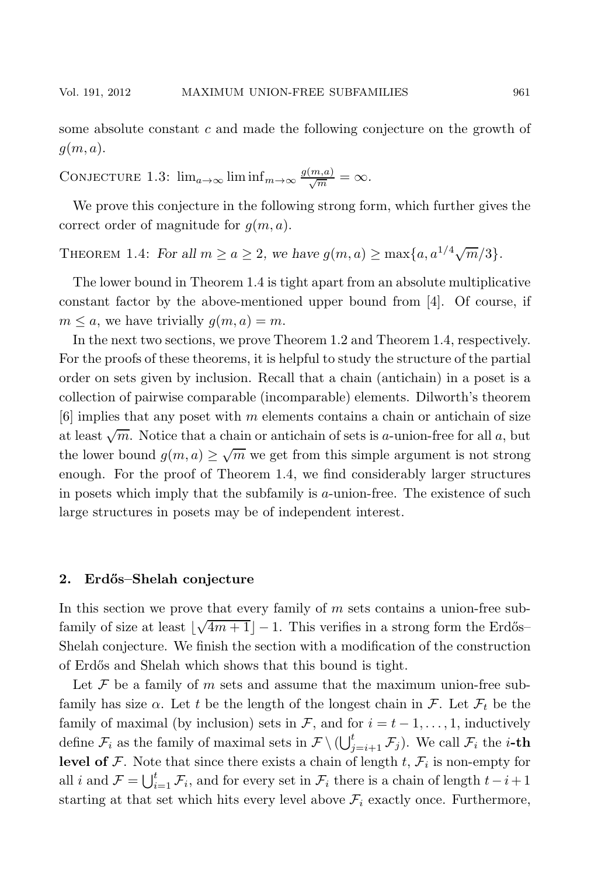some absolute constant  $c$  and made the following conjecture on the growth of  $g(m, a)$ .

CONJECTURE 1.3:  $\lim_{a\to\infty} \liminf_{m\to\infty} \frac{g(m,a)}{\sqrt{m}} = \infty$ .

We prove this conjecture in the following strong form, which further gives the correct order of magnitude for  $g(m, a)$ .

THEOREM 1.4: *For all*  $m \ge a \ge 2$ *, we have*  $g(m, a) \ge \max\{a, a^{1/4}\sqrt{m}/3\}.$ 

The lower bound in Theorem 1.4 is tight apart from an absolute multiplicative constant factor by the above-mentioned upper bound from [4]. Of course, if  $m \leq a$ , we have trivially  $g(m, a) = m$ .

In the next two sections, we prove Theorem 1.2 and Theorem 1.4, respectively. For the proofs of these theorems, it is helpful to study the structure of the partial order on sets given by inclusion. Recall that a chain (antichain) in a poset is a collection of pairwise comparable (incomparable) elements. Dilworth's theorem [6] implies that any poset with m elements contains a chain or antichain of size at least  $\sqrt{m}$ . Notice that a chain or antichain of sets is a-union-free for all a, but the lower bound  $g(m, a) \geq \sqrt{m}$  we get from this simple argument is not strong enough. For the proof of Theorem 1.4, we find considerably larger structures in posets which imply that the subfamily is  $a$ -union-free. The existence of such large structures in posets may be of independent interest.

#### **2. Erd˝os–Shelah conjecture**

In this section we prove that every family of  $m$  sets contains a union-free subfamily of size at least  $\lfloor \sqrt{4m+1} \rfloor - 1$ . This verifies in a strong form the Erdős– Shelah conjecture. We finish the section with a modification of the construction of Erd˝os and Shelah which shows that this bound is tight.

Let  $\mathcal F$  be a family of m sets and assume that the maximum union-free subfamily has size  $\alpha$ . Let t be the length of the longest chain in F. Let  $\mathcal{F}_t$  be the family of maximal (by inclusion) sets in F, and for  $i = t - 1, \ldots, 1$ , inductively define  $\mathcal{F}_i$  as the family of maximal sets in  $\mathcal{F} \setminus (\bigcup_{j=i+1}^t \mathcal{F}_j)$ . We call  $\mathcal{F}_i$  the *i*-th **level of**  $\mathcal F$ . Note that since there exists a chain of length  $t$ ,  $\mathcal F_i$  is non-empty for all i and  $\mathcal{F} = \bigcup_{i=1}^t \mathcal{F}_i$ , and for every set in  $\mathcal{F}_i$  there is a chain of length  $t-i+1$ starting at that set which hits every level above  $\mathcal{F}_i$  exactly once. Furthermore,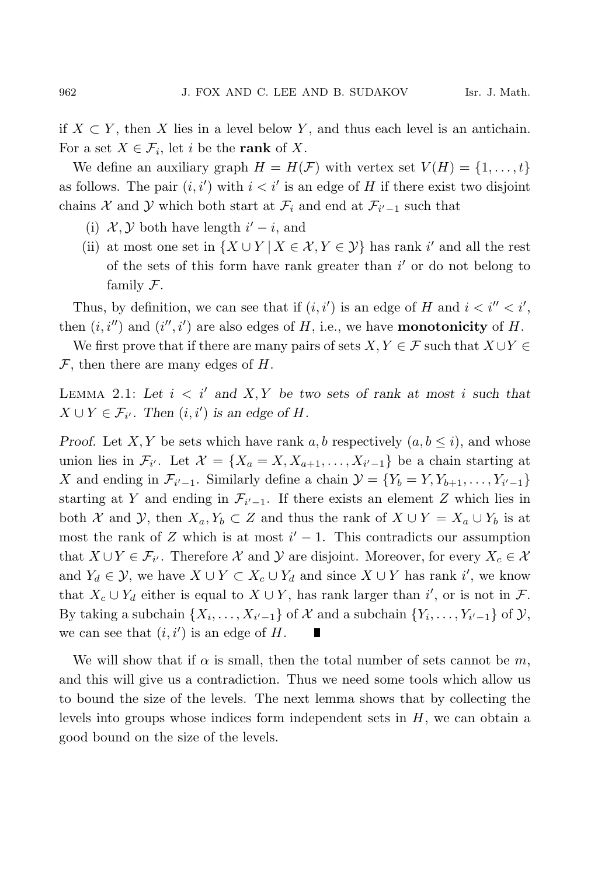if  $X \subset Y$ , then X lies in a level below Y, and thus each level is an antichain. For a set  $X \in \mathcal{F}_i$ , let i be the **rank** of X.

We define an auxiliary graph  $H = H(\mathcal{F})$  with vertex set  $V(H) = \{1, \ldots, t\}$ as follows. The pair  $(i, i')$  with  $i < i'$  is an edge of H if there exist two disjoint chains  $\mathcal X$  and  $\mathcal Y$  which both start at  $\mathcal F_i$  and end at  $\mathcal F_{i'-1}$  such that

- (i)  $\mathcal{X}, \mathcal{Y}$  both have length  $i'-i$ , and
- (ii) at most one set in  $\{X \cup Y | X \in \mathcal{X}, Y \in \mathcal{Y}\}\$  has rank i' and all the rest of the sets of this form have rank greater than  $i'$  or do not belong to family F.

Thus, by definition, we can see that if  $(i, i')$  is an edge of H and  $i < i'' < i'$ , then  $(i, i'')$  and  $(i'', i')$  are also edges of  $H$ , i.e., we have **monotonicity** of  $H$ .

We first prove that if there are many pairs of sets  $X, Y \in \mathcal{F}$  such that  $X \cup Y \in \mathcal{F}$  $\mathcal F$ , then there are many edges of  $H$ .

LEMMA 2.1: Let  $i < i'$  and  $X, Y$  be two sets of rank at most i such that  $X \cup Y \in \mathcal{F}_{i'}$ . Then  $(i, i')$  is an edge of H.

*Proof.* Let X, Y be sets which have rank a, b respectively  $(a, b \leq i)$ , and whose union lies in  $\mathcal{F}_{i'}$ . Let  $\mathcal{X} = \{X_a = X, X_{a+1}, \ldots, X_{i'-1}\}\)$  be a chain starting at X and ending in  $\mathcal{F}_{i'-1}$ . Similarly define a chain  $\mathcal{Y} = \{Y_b = Y, Y_{b+1}, \ldots, Y_{i'-1}\}\$ starting at Y and ending in  $\mathcal{F}_{i'-1}$ . If there exists an element Z which lies in both X and Y, then  $X_a, Y_b \subset Z$  and thus the rank of  $X \cup Y = X_a \cup Y_b$  is at most the rank of Z which is at most  $i' - 1$ . This contradicts our assumption that  $X \cup Y \in \mathcal{F}_{i'}$ . Therefore X and Y are disjoint. Moreover, for every  $X_c \in \mathcal{X}$ and  $Y_d \in \mathcal{Y}$ , we have  $X \cup Y \subset X_c \cup Y_d$  and since  $X \cup Y$  has rank i', we know that  $X_c \cup Y_d$  either is equal to  $X \cup Y$ , has rank larger than i', or is not in  $\mathcal{F}$ . By taking a subchain  $\{X_i, \ldots, X_{i'-1}\}\$  of  $\mathcal X$  and a subchain  $\{Y_i, \ldots, Y_{i'-1}\}\$  of  $\mathcal Y$ , we can see that  $(i, i')$  is an edge of H.

We will show that if  $\alpha$  is small, then the total number of sets cannot be m, and this will give us a contradiction. Thus we need some tools which allow us to bound the size of the levels. The next lemma shows that by collecting the levels into groups whose indices form independent sets in  $H$ , we can obtain a good bound on the size of the levels.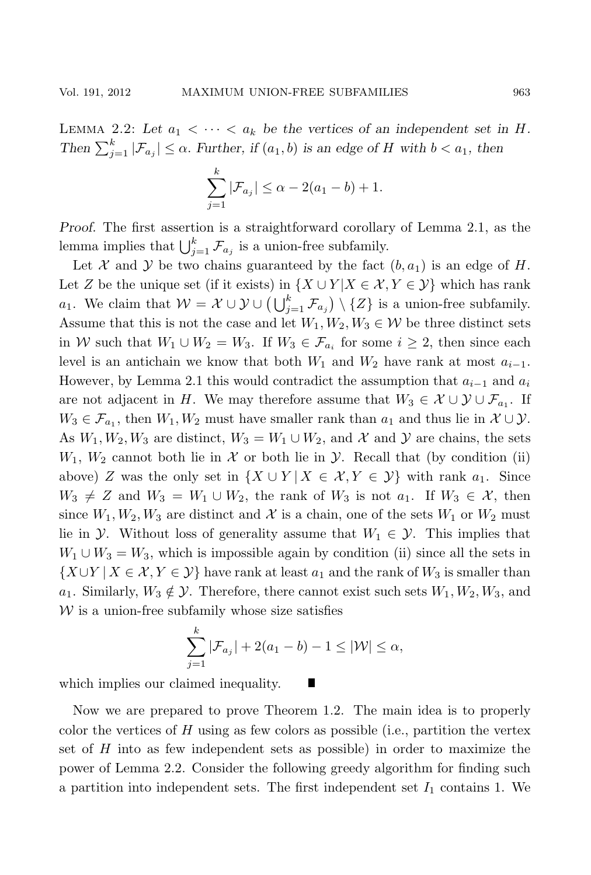LEMMA 2.2: Let  $a_1 < \cdots < a_k$  be the vertices of an independent set in H. *Then*  $\sum_{j=1}^{k} |\mathcal{F}_{a_j}| \leq \alpha$ . *Further, if*  $(a_1, b)$  *is an edge of* H *with*  $b < a_1$ *, then* 

$$
\sum_{j=1}^{k} |\mathcal{F}_{a_j}| \le \alpha - 2(a_1 - b) + 1.
$$

*Proof.* The first assertion is a straightforward corollary of Lemma 2.1, as the lemma implies that  $\bigcup_{j=1}^k \mathcal{F}_{a_j}$  is a union-free subfamily.

Let X and Y be two chains guaranteed by the fact  $(b, a_1)$  is an edge of H. Let Z be the unique set (if it exists) in  $\{X \cup Y | X \in \mathcal{X}, Y \in \mathcal{Y}\}\$  which has rank a<sub>1</sub>. We claim that  $W = \mathcal{X} \cup \mathcal{Y} \cup (\bigcup_{j=1}^{k} \mathcal{F}_{a_j}) \setminus \{Z\}$  is a union-free subfamily. Assume that this is not the case and let  $W_1, W_2, W_3 \in \mathcal{W}$  be three distinct sets in W such that  $W_1 \cup W_2 = W_3$ . If  $W_3 \in \mathcal{F}_{a_i}$  for some  $i \geq 2$ , then since each level is an antichain we know that both  $W_1$  and  $W_2$  have rank at most  $a_{i-1}$ . However, by Lemma 2.1 this would contradict the assumption that  $a_{i-1}$  and  $a_i$ are not adjacent in H. We may therefore assume that  $W_3 \in \mathcal{X} \cup \mathcal{Y} \cup \mathcal{F}_{a_1}$ . If  $W_3 \in \mathcal{F}_{a_1}$ , then  $W_1, W_2$  must have smaller rank than  $a_1$  and thus lie in  $\mathcal{X} \cup \mathcal{Y}$ . As  $W_1, W_2, W_3$  are distinct,  $W_3 = W_1 \cup W_2$ , and X and Y are chains, the sets  $W_1, W_2$  cannot both lie in X or both lie in Y. Recall that (by condition (ii) above) Z was the only set in  $\{X \cup Y | X \in \mathcal{X}, Y \in \mathcal{Y}\}\$  with rank  $a_1$ . Since  $W_3 \neq Z$  and  $W_3 = W_1 \cup W_2$ , the rank of  $W_3$  is not  $a_1$ . If  $W_3 \in \mathcal{X}$ , then since  $W_1, W_2, W_3$  are distinct and X is a chain, one of the sets  $W_1$  or  $W_2$  must lie in  $\mathcal{Y}$ . Without loss of generality assume that  $W_1 \in \mathcal{Y}$ . This implies that  $W_1 \cup W_3 = W_3$ , which is impossible again by condition (ii) since all the sets in  ${X \cup Y \mid X \in \mathcal{X}, Y \in \mathcal{Y}}$  have rank at least  $a_1$  and the rank of  $W_3$  is smaller than a<sub>1</sub>. Similarly,  $W_3 \notin \mathcal{Y}$ . Therefore, there cannot exist such sets  $W_1, W_2, W_3$ , and  $W$  is a union-free subfamily whose size satisfies

$$
\sum_{j=1}^{k} |\mathcal{F}_{a_j}| + 2(a_1 - b) - 1 \leq |\mathcal{W}| \leq \alpha,
$$

T

which implies our claimed inequality.

Now we are prepared to prove Theorem 1.2. The main idea is to properly color the vertices of  $H$  using as few colors as possible (i.e., partition the vertex set of H into as few independent sets as possible) in order to maximize the power of Lemma 2.2. Consider the following greedy algorithm for finding such a partition into independent sets. The first independent set  $I_1$  contains 1. We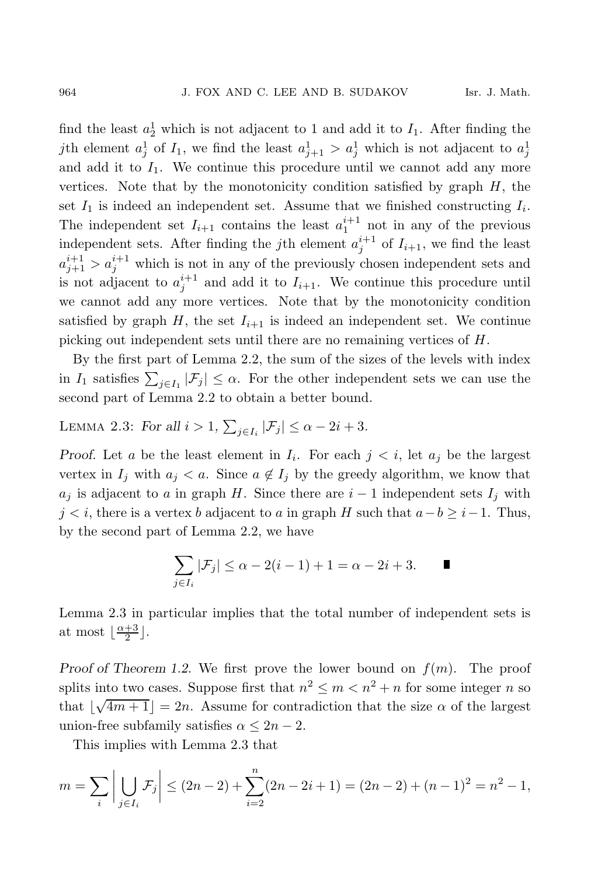find the least  $a_2^1$  which is not adjacent to 1 and add it to  $I_1$ . After finding the jth element  $a_j^1$  of  $I_1$ , we find the least  $a_{j+1}^1 > a_j^1$  which is not adjacent to  $a_j^1$ and add it to  $I_1$ . We continue this procedure until we cannot add any more vertices. Note that by the monotonicity condition satisfied by graph  $H$ , the set  $I_1$  is indeed an independent set. Assume that we finished constructing  $I_i$ . The independent set  $I_{i+1}$  contains the least  $a_1^{i+1}$  not in any of the previous independent sets. After finding the *j*th element  $a_j^{i+1}$  of  $I_{i+1}$ , we find the least  $a_{j+1}^{i+1} > a_j^{i+1}$  which is not in any of the previously chosen independent sets and is not adjacent to  $a_j^{i+1}$  and add it to  $I_{i+1}$ . We continue this procedure until we cannot add any more vertices. Note that by the monotonicity condition satisfied by graph H, the set  $I_{i+1}$  is indeed an independent set. We continue picking out independent sets until there are no remaining vertices of H.

By the first part of Lemma 2.2, the sum of the sizes of the levels with index in  $I_1$  satisfies  $\sum_{j\in I_1} |\mathcal{F}_j| \leq \alpha$ . For the other independent sets we can use the second part of Lemma 2.2 to obtain a better bound.

LEMMA 2.3: *For all*  $i > 1$ ,  $\sum_{j \in I_i} |\mathcal{F}_j| \le \alpha - 2i + 3$ *.* 

*Proof.* Let a be the least element in  $I_i$ . For each  $j < i$ , let  $a_j$  be the largest vertex in  $I_j$  with  $a_j < a$ . Since  $a \notin I_j$  by the greedy algorithm, we know that  $a_j$  is adjacent to a in graph H. Since there are  $i-1$  independent sets  $I_j$  with  $j < i$ , there is a vertex b adjacent to a in graph H such that  $a - b \geq i - 1$ . Thus, by the second part of Lemma 2.2, we have

$$
\sum_{j\in I_i}|\mathcal{F}_j|\leq \alpha-2(i-1)+1=\alpha-2i+3.
$$

Lemma 2.3 in particular implies that the total number of independent sets is at most  $\lfloor \frac{\alpha+3}{2} \rfloor$ .

*Proof of Theorem 1.2.* We first prove the lower bound on  $f(m)$ . The proof splits into two cases. Suppose first that  $n^2 \leq m < n^2 + n$  for some integer n so that  $\lfloor \sqrt{4m+1} \rfloor = 2n$ . Assume for contradiction that the size  $\alpha$  of the largest union-free subfamily satisfies  $\alpha \leq 2n-2$ .

This implies with Lemma 2.3 that

$$
m = \sum_{i} \left| \bigcup_{j \in I_i} \mathcal{F}_j \right| \le (2n - 2) + \sum_{i=2}^{n} (2n - 2i + 1) = (2n - 2) + (n - 1)^2 = n^2 - 1,
$$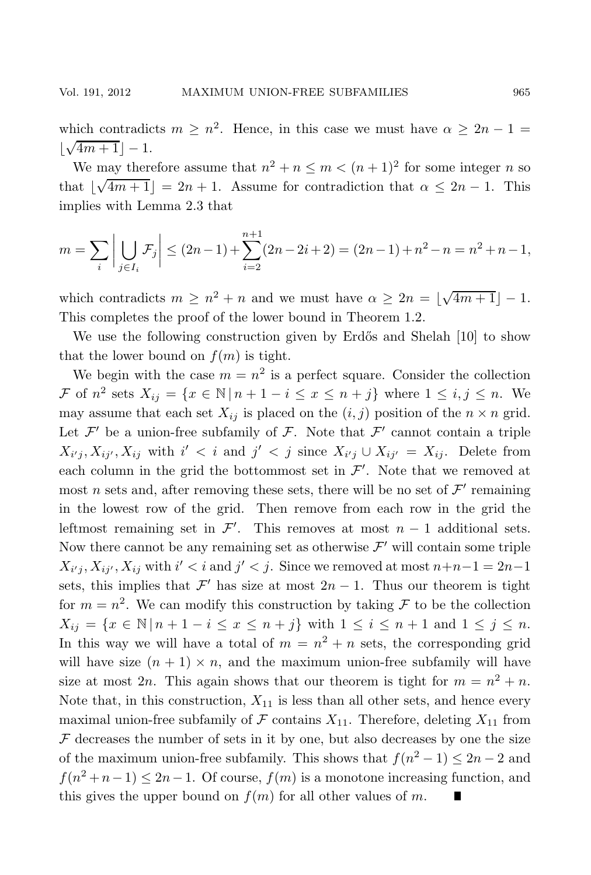which contradicts  $m \geq n^2$ . Hence, in this case we must have  $\alpha \geq 2n - 1$  $\lfloor \sqrt{4m+1} \rfloor - 1.$ 

We may therefore assume that  $n^2 + n \le m < (n + 1)^2$  for some integer *n* so that  $\lfloor \sqrt{4m+1} \rfloor = 2n + 1$ . Assume for contradiction that  $\alpha \leq 2n - 1$ . This implies with Lemma 2.3 that

$$
m = \sum_{i} \left| \bigcup_{j \in I_i} \mathcal{F}_j \right| \le (2n - 1) + \sum_{i=2}^{n+1} (2n - 2i + 2) = (2n - 1) + n^2 - n = n^2 + n - 1,
$$

which contradicts  $m \geq n^2 + n$  and we must have  $\alpha \geq 2n = \lfloor \sqrt{4m+1} \rfloor - 1$ . This completes the proof of the lower bound in Theorem 1.2.

We use the following construction given by Erdős and Shelah [10] to show that the lower bound on  $f(m)$  is tight.

We begin with the case  $m = n^2$  is a perfect square. Consider the collection F of  $n^2$  sets  $X_{ij} = \{x \in \mathbb{N} \mid n+1-i \leq x \leq n+j\}$  where  $1 \leq i, j \leq n$ . We may assume that each set  $X_{ij}$  is placed on the  $(i, j)$  position of the  $n \times n$  grid. Let  $\mathcal{F}'$  be a union-free subfamily of  $\mathcal{F}$ . Note that  $\mathcal{F}'$  cannot contain a triple  $X_{i'j}, X_{ij'}$ ,  $X_{ij}$  with  $i' < i$  and  $j' < j$  since  $X_{i'j} \cup X_{ij'} = X_{ij}$ . Delete from each column in the grid the bottommost set in  $\mathcal{F}'$ . Note that we removed at most n sets and, after removing these sets, there will be no set of  $\mathcal{F}'$  remaining in the lowest row of the grid. Then remove from each row in the grid the leftmost remaining set in  $\mathcal{F}'$ . This removes at most  $n-1$  additional sets. Now there cannot be any remaining set as otherwise  $\mathcal{F}'$  will contain some triple  $X_{i'j}, X_{ij'}$ ,  $X_{ij}$  with  $i' < i$  and  $j' < j$ . Since we removed at most  $n+n-1=2n-1$ sets, this implies that  $\mathcal{F}'$  has size at most  $2n - 1$ . Thus our theorem is tight for  $m = n^2$ . We can modify this construction by taking F to be the collection  $X_{ij} = \{x \in \mathbb{N} \mid n+1-i \leq x \leq n+j\}$  with  $1 \leq i \leq n+1$  and  $1 \leq j \leq n$ . In this way we will have a total of  $m = n^2 + n$  sets, the corresponding grid will have size  $(n + 1) \times n$ , and the maximum union-free subfamily will have size at most 2n. This again shows that our theorem is tight for  $m = n^2 + n$ . Note that, in this construction,  $X_{11}$  is less than all other sets, and hence every maximal union-free subfamily of F contains  $X_{11}$ . Therefore, deleting  $X_{11}$  from  ${\mathcal F}$  decreases the number of sets in it by one, but also decreases by one the size of the maximum union-free subfamily. This shows that  $f(n^2 - 1) \leq 2n - 2$  and  $f(n^2 + n - 1) \leq 2n - 1$ . Of course,  $f(m)$  is a monotone increasing function, and this gives the upper bound on  $f(m)$  for all other values of m.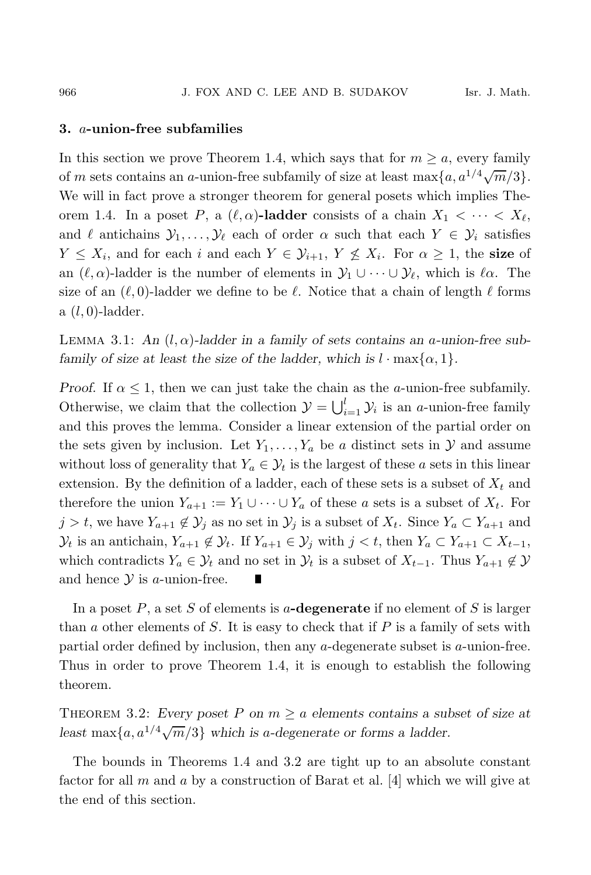## **3.** a**-union-free subfamilies**

In this section we prove Theorem 1.4, which says that for  $m \ge a$ , every family of m sets contains an a-union-free subfamily of size at least max $\{a, a^{1/4}\sqrt{m}/3\}$ . We will in fact prove a stronger theorem for general posets which implies Theorem 1.4. In a poset P, a  $(\ell, \alpha)$ -ladder consists of a chain  $X_1 < \cdots < X_\ell$ , and  $\ell$  antichains  $\mathcal{Y}_1,\ldots,\mathcal{Y}_\ell$  each of order  $\alpha$  such that each  $Y \in \mathcal{Y}_i$  satisfies  $Y \leq X_i$ , and for each i and each  $Y \in \mathcal{Y}_{i+1}$ ,  $Y \nleq X_i$ . For  $\alpha \geq 1$ , the **size** of an  $(\ell, \alpha)$ -ladder is the number of elements in  $\mathcal{Y}_1 \cup \cdots \cup \mathcal{Y}_\ell$ , which is  $\ell \alpha$ . The size of an  $(\ell, 0)$ -ladder we define to be  $\ell$ . Notice that a chain of length  $\ell$  forms  $a(l, 0)$ -ladder.

LEMMA 3.1: An  $(l, \alpha)$ -ladder in a family of sets contains an a-union-free sub*family of size at least the size of the ladder, which is*  $l \cdot \max\{\alpha, 1\}$ .

*Proof.* If  $\alpha \leq 1$ , then we can just take the chain as the *a*-union-free subfamily. Otherwise, we claim that the collection  $\mathcal{Y} = \bigcup_{i=1}^{l} \mathcal{Y}_i$  is an *a*-union-free family and this proves the lemma. Consider a linear extension of the partial order on the sets given by inclusion. Let  $Y_1, \ldots, Y_a$  be a distinct sets in  $\mathcal Y$  and assume without loss of generality that  $Y_a \in \mathcal{Y}_t$  is the largest of these a sets in this linear extension. By the definition of a ladder, each of these sets is a subset of  $X_t$  and therefore the union  $Y_{a+1} := Y_1 \cup \cdots \cup Y_a$  of these a sets is a subset of  $X_t$ . For  $j > t$ , we have  $Y_{a+1} \notin \mathcal{Y}_j$  as no set in  $\mathcal{Y}_j$  is a subset of  $X_t$ . Since  $Y_a \subset Y_{a+1}$  and  $\mathcal{Y}_t$  is an antichain,  $Y_{a+1} \notin \mathcal{Y}_t$ . If  $Y_{a+1} \in \mathcal{Y}_j$  with  $j < t$ , then  $Y_a \subset Y_{a+1} \subset X_{t-1}$ , which contradicts  $Y_a \in \mathcal{Y}_t$  and no set in  $\mathcal{Y}_t$  is a subset of  $X_{t-1}$ . Thus  $Y_{a+1} \notin \mathcal{Y}$ and hence  $Y$  is a-union-free.

In a poset P, a set S of elements is a**-degenerate** if no element of S is larger than  $a$  other elements of  $S$ . It is easy to check that if  $P$  is a family of sets with partial order defined by inclusion, then any a-degenerate subset is a-union-free. Thus in order to prove Theorem 1.4, it is enough to establish the following theorem.

THEOREM 3.2: *Every poset* P on  $m \ge a$  *elements contains a subset of size at least* max $\{a, a^{1/4}\sqrt{m}/3\}$  *which is a-degenerate or forms a ladder.* 

The bounds in Theorems 1.4 and 3.2 are tight up to an absolute constant factor for all  $m$  and  $a$  by a construction of Barat et al. [4] which we will give at the end of this section.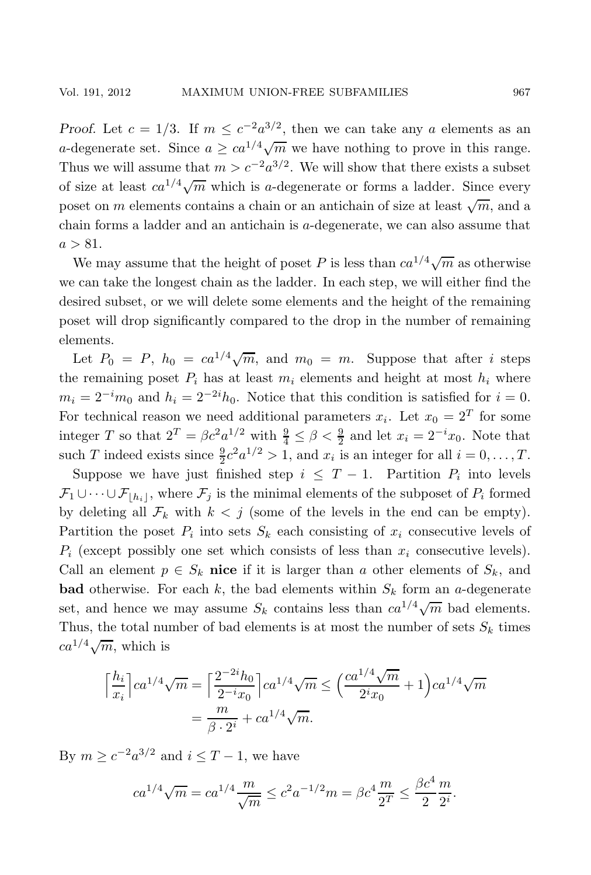*Proof.* Let  $c = 1/3$ . If  $m \leq c^{-2}a^{3/2}$ , then we can take any a elements as an a-degenerate set. Since  $a \geq ca^{1/4}\sqrt{m}$  we have nothing to prove in this range. Thus we will assume that  $m>c^{-2}a^{3/2}$ . We will show that there exists a subset of size at least  $ca^{1/4}\sqrt{m}$  which is a-degenerate or forms a ladder. Since every poset on m elements contains a chain or an antichain of size at least  $\sqrt{m}$ , and a chain forms a ladder and an antichain is a-degenerate, we can also assume that  $a > 81$ .

We may assume that the height of poset P is less than  $ca^{1/4}\sqrt{m}$  as otherwise we can take the longest chain as the ladder. In each step, we will either find the desired subset, or we will delete some elements and the height of the remaining poset will drop significantly compared to the drop in the number of remaining elements.

Let  $P_0 = P$ ,  $h_0 = ca^{1/4}\sqrt{m}$ , and  $m_0 = m$ . Suppose that after *i* steps the remaining poset  $P_i$  has at least  $m_i$  elements and height at most  $h_i$  where  $m_i = 2^{-i}m_0$  and  $h_i = 2^{-2i}h_0$ . Notice that this condition is satisfied for  $i = 0$ . For technical reason we need additional parameters  $x_i$ . Let  $x_0 = 2^T$  for some integer T so that  $2^T = \beta c^2 a^{1/2}$  with  $\frac{9}{4} \le \beta < \frac{9}{2}$  and let  $x_i = 2^{-i} x_0$ . Note that such T indeed exists since  $\frac{9}{2}c^2a^{1/2} > 1$ , and  $x_i$  is an integer for all  $i = 0, \ldots, T$ .

Suppose we have just finished step  $i \leq T - 1$ . Partition  $P_i$  into levels  $\mathcal{F}_1 \cup \cdots \cup \mathcal{F}_{|h_i|}$ , where  $\mathcal{F}_j$  is the minimal elements of the subposet of  $P_i$  formed by deleting all  $\mathcal{F}_k$  with  $k < j$  (some of the levels in the end can be empty). Partition the poset  $P_i$  into sets  $S_k$  each consisting of  $x_i$  consecutive levels of  $P_i$  (except possibly one set which consists of less than  $x_i$  consecutive levels). Call an element  $p \in S_k$  **nice** if it is larger than a other elements of  $S_k$ , and **bad** otherwise. For each k, the bad elements within  $S_k$  form an a-degenerate set, and hence we may assume  $S_k$  contains less than  $ca^{1/4}\sqrt{m}$  bad elements. Thus, the total number of bad elements is at most the number of sets  $S_k$  times  $ca^{1/4}\sqrt{m}$ , which is

$$
\left\lceil \frac{h_i}{x_i} \right\rceil c a^{1/4} \sqrt{m} = \left\lceil \frac{2^{-2i} h_0}{2^{-i} x_0} \right\rceil c a^{1/4} \sqrt{m} \le \left( \frac{c a^{1/4} \sqrt{m}}{2^i x_0} + 1 \right) c a^{1/4} \sqrt{m}
$$

$$
= \frac{m}{\beta \cdot 2^i} + c a^{1/4} \sqrt{m}.
$$

By  $m \geq c^{-2}a^{3/2}$  and  $i \leq T-1$ , we have

$$
ca^{1/4}\sqrt{m} = ca^{1/4}\frac{m}{\sqrt{m}} \le c^2 a^{-1/2}m = \beta c^4 \frac{m}{2^T} \le \frac{\beta c^4}{2} \frac{m}{2^i}.
$$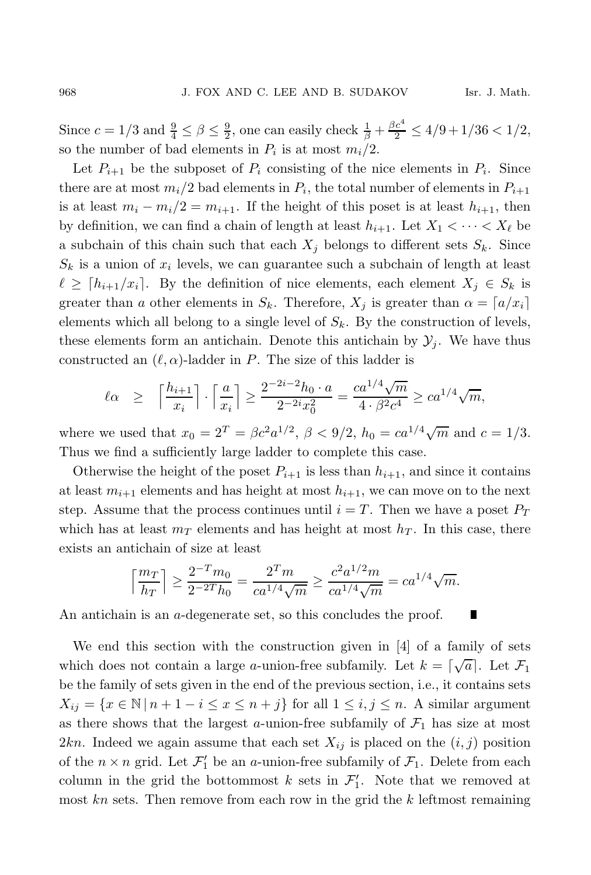Since  $c = 1/3$  and  $\frac{9}{4} \le \beta \le \frac{9}{2}$ , one can easily check  $\frac{1}{\beta} + \frac{\beta c^4}{2} \le 4/9 + 1/36 < 1/2$ , so the number of bad elements in  $P_i$  is at most  $m_i/2$ .

Let  $P_{i+1}$  be the subposet of  $P_i$  consisting of the nice elements in  $P_i$ . Since there are at most  $m_i/2$  bad elements in  $P_i$ , the total number of elements in  $P_{i+1}$ is at least  $m_i - m_i/2 = m_{i+1}$ . If the height of this poset is at least  $h_{i+1}$ , then by definition, we can find a chain of length at least  $h_{i+1}$ . Let  $X_1 < \cdots < X_\ell$  be a subchain of this chain such that each  $X_i$  belongs to different sets  $S_k$ . Since  $S_k$  is a union of  $x_i$  levels, we can guarantee such a subchain of length at least  $\ell \geq [h_{i+1}/x_i]$ . By the definition of nice elements, each element  $X_i \in S_k$  is greater than a other elements in  $S_k$ . Therefore,  $X_j$  is greater than  $\alpha = [a/x_i]$ elements which all belong to a single level of  $S_k$ . By the construction of levels, these elements form an antichain. Denote this antichain by  $\mathcal{Y}_i$ . We have thus constructed an  $(\ell, \alpha)$ -ladder in P. The size of this ladder is

$$
\ell \alpha \geq \left\lceil \frac{h_{i+1}}{x_i} \right\rceil \cdot \left\lceil \frac{a}{x_i} \right\rceil \geq \frac{2^{-2i-2} h_0 \cdot a}{2^{-2i} x_0^2} = \frac{c a^{1/4} \sqrt{m}}{4 \cdot \beta^2 c^4} \geq c a^{1/4} \sqrt{m},
$$

where we used that  $x_0 = 2^T = \beta c^2 a^{1/2}, \ \beta < 9/2, \ h_0 = c a^{1/4} \sqrt{m}$  and  $c = 1/3$ . Thus we find a sufficiently large ladder to complete this case.

Otherwise the height of the poset  $P_{i+1}$  is less than  $h_{i+1}$ , and since it contains at least  $m_{i+1}$  elements and has height at most  $h_{i+1}$ , we can move on to the next step. Assume that the process continues until  $i = T$ . Then we have a poset  $P_T$ which has at least  $m<sub>T</sub>$  elements and has height at most  $h<sub>T</sub>$ . In this case, there exists an antichain of size at least

$$
\left\lceil \frac{m_T}{h_T} \right\rceil \ge \frac{2^{-T} m_0}{2^{-2T} h_0} = \frac{2^T m}{c a^{1/4} \sqrt{m}} \ge \frac{c^2 a^{1/2} m}{c a^{1/4} \sqrt{m}} = c a^{1/4} \sqrt{m}.
$$

An antichain is an a-degenerate set, so this concludes the proof.

We end this section with the construction given in [4] of a family of sets which does not contain a large *a*-union-free subfamily. Let  $k = \lceil \sqrt{a} \rceil$ . Let  $\mathcal{F}_1$ be the family of sets given in the end of the previous section, i.e., it contains sets  $X_{ij} = \{x \in \mathbb{N} \mid n+1-i \leq x \leq n+j\}$  for all  $1 \leq i, j \leq n$ . A similar argument as there shows that the largest  $a$ -union-free subfamily of  $\mathcal{F}_1$  has size at most 2kn. Indeed we again assume that each set  $X_{ij}$  is placed on the  $(i, j)$  position of the  $n \times n$  grid. Let  $\mathcal{F}'_1$  be an a-union-free subfamily of  $\mathcal{F}_1$ . Delete from each column in the grid the bottommost k sets in  $\mathcal{F}'_1$ . Note that we removed at most  $kn$  sets. Then remove from each row in the grid the  $k$  leftmost remaining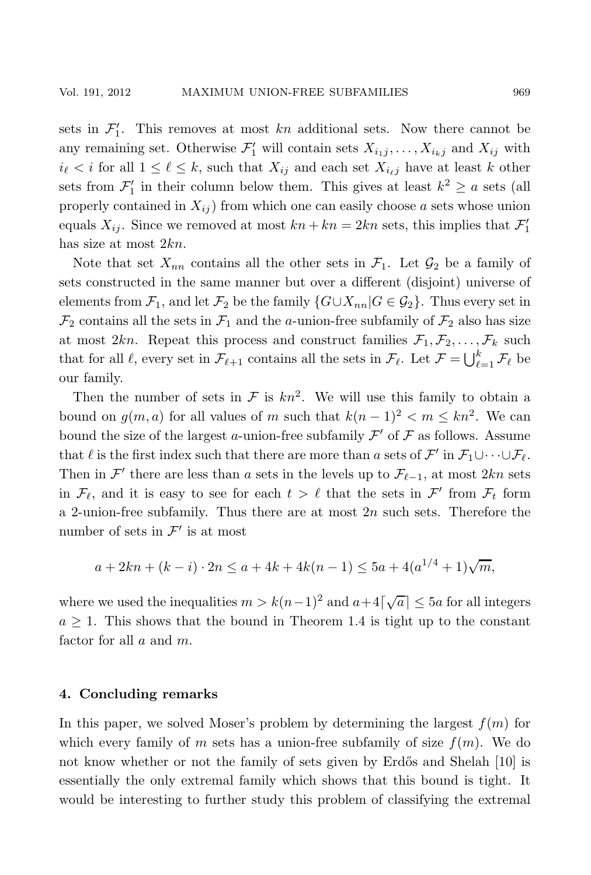sets in  $\mathcal{F}'_1$ . This removes at most kn additional sets. Now there cannot be any remaining set. Otherwise  $\mathcal{F}'_1$  will contain sets  $X_{i_1j}, \ldots, X_{i_kj}$  and  $X_{ij}$  with  $i_{\ell} < i$  for all  $1 \leq \ell \leq k$ , such that  $X_{ij}$  and each set  $X_{i_{\ell}j}$  have at least k other sets from  $\mathcal{F}'_1$  in their column below them. This gives at least  $k^2 \ge a$  sets (all properly contained in  $X_{ij}$  from which one can easily choose a sets whose union equals  $X_{ij}$ . Since we removed at most  $kn + kn = 2kn$  sets, this implies that  $\mathcal{F}'_1$ has size at most 2kn.

Note that set  $X_{nn}$  contains all the other sets in  $\mathcal{F}_1$ . Let  $\mathcal{G}_2$  be a family of sets constructed in the same manner but over a different (disjoint) universe of elements from  $\mathcal{F}_1$ , and let  $\mathcal{F}_2$  be the family  $\{G \cup X_{nn} | G \in \mathcal{G}_2\}$ . Thus every set in  $\mathcal{F}_2$  contains all the sets in  $\mathcal{F}_1$  and the *a*-union-free subfamily of  $\mathcal{F}_2$  also has size at most 2kn. Repeat this process and construct families  $\mathcal{F}_1, \mathcal{F}_2, \ldots, \mathcal{F}_k$  such that for all  $\ell$ , every set in  $\mathcal{F}_{\ell+1}$  contains all the sets in  $\mathcal{F}_{\ell}$ . Let  $\mathcal{F} = \bigcup_{\ell=1}^{k} \mathcal{F}_{\ell}$  be our family.

Then the number of sets in  $\mathcal F$  is  $kn^2$ . We will use this family to obtain a bound on  $g(m, a)$  for all values of m such that  $k(n - 1)^2 < m \leq kn^2$ . We can bound the size of the largest a-union-free subfamily  $\mathcal{F}'$  of  $\mathcal F$  as follows. Assume that  $\ell$  is the first index such that there are more than a sets of  $\mathcal{F}'$  in  $\mathcal{F}_1 \cup \cdots \cup \mathcal{F}_{\ell}$ . Then in  $\mathcal{F}'$  there are less than a sets in the levels up to  $\mathcal{F}_{\ell-1}$ , at most 2kn sets in  $\mathcal{F}_{\ell}$ , and it is easy to see for each  $t > \ell$  that the sets in  $\mathcal{F}'$  from  $\mathcal{F}_t$  form a 2-union-free subfamily. Thus there are at most  $2n$  such sets. Therefore the number of sets in  $\mathcal{F}'$  is at most

$$
a + 2kn + (k - i) \cdot 2n \le a + 4k + 4k(n - 1) \le 5a + 4(a^{1/4} + 1)\sqrt{m},
$$

where we used the inequalities  $m > k(n-1)^2$  and  $a+4\lceil \sqrt{a} \rceil \le 5a$  for all integers  $a \geq 1$ . This shows that the bound in Theorem 1.4 is tight up to the constant factor for all  $a$  and  $m$ .

### **4. Concluding remarks**

In this paper, we solved Moser's problem by determining the largest  $f(m)$  for which every family of m sets has a union-free subfamily of size  $f(m)$ . We do not know whether or not the family of sets given by Erdős and Shelah [10] is essentially the only extremal family which shows that this bound is tight. It would be interesting to further study this problem of classifying the extremal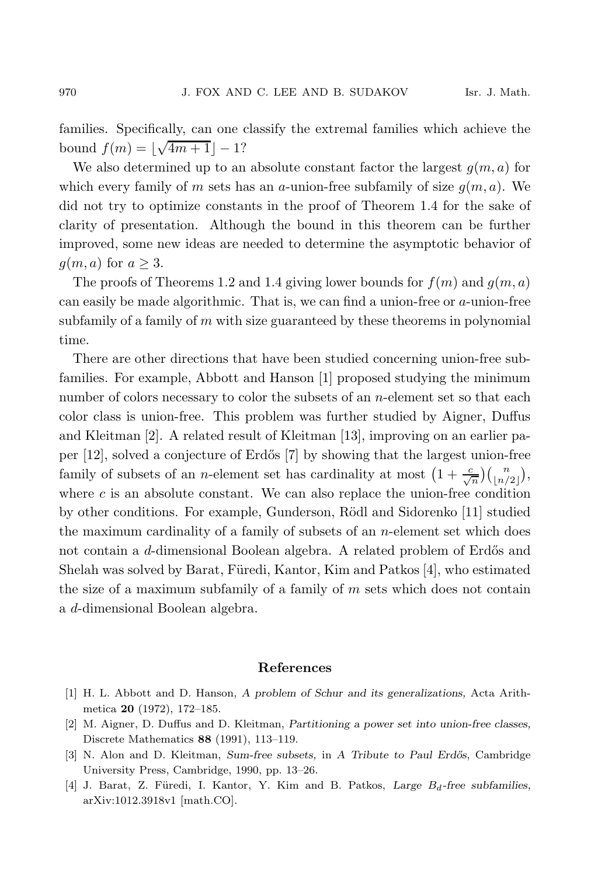families. Specifically, can one classify the extremal families which achieve the bound  $f(m) = \lfloor \sqrt{4m+1} \rfloor - 1$ ?

We also determined up to an absolute constant factor the largest  $g(m, a)$  for which every family of m sets has an a-union-free subfamily of size  $q(m, a)$ . We did not try to optimize constants in the proof of Theorem 1.4 for the sake of clarity of presentation. Although the bound in this theorem can be further improved, some new ideas are needed to determine the asymptotic behavior of  $g(m, a)$  for  $a \geq 3$ .

The proofs of Theorems 1.2 and 1.4 giving lower bounds for  $f(m)$  and  $g(m, a)$ can easily be made algorithmic. That is, we can find a union-free or a-union-free subfamily of a family of  $m$  with size guaranteed by these theorems in polynomial time.

There are other directions that have been studied concerning union-free subfamilies. For example, Abbott and Hanson [1] proposed studying the minimum number of colors necessary to color the subsets of an *n*-element set so that each color class is union-free. This problem was further studied by Aigner, Duffus and Kleitman [2]. A related result of Kleitman [13], improving on an earlier paper [12], solved a conjecture of Erd˝os [7] by showing that the largest union-free family of subsets of an *n*-element set has cardinality at most  $\left(1 + \frac{c}{\sqrt{n}}\right) \binom{n}{\lfloor n/2 \rfloor}$ , where  $c$  is an absolute constant. We can also replace the union-free condition by other conditions. For example, Gunderson, Rödl and Sidorenko [11] studied the maximum cardinality of a family of subsets of an n-element set which does not contain a d-dimensional Boolean algebra. A related problem of Erdős and Shelah was solved by Barat, Füredi, Kantor, Kim and Patkos  $[4]$ , who estimated the size of a maximum subfamily of a family of  $m$  sets which does not contain a d-dimensional Boolean algebra.

#### **References**

- [1] H. L. Abbott and D. Hanson, *A problem of Schur and its generalizations,* Acta Arithmetica **20** (1972), 172–185.
- [2] M. Aigner, D. Duffus and D. Kleitman, *Partitioning a power set into union-free classes,* Discrete Mathematics **88** (1991), 113–119.
- [3] N. Alon and D. Kleitman, *Sum-free subsets,* in *A Tribute to Paul Erd˝os*, Cambridge University Press, Cambridge, 1990, pp. 13–26.
- [4] J. Barat, Z. Füredi, I. Kantor, Y. Kim and B. Patkos, *Large*  $B_d$ -free subfamilies, arXiv:1012.3918v1 [math.CO].